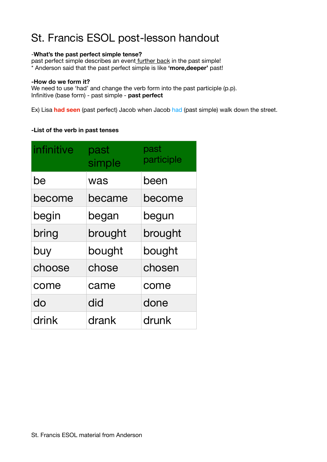# St. Francis ESOL post-lesson handout

### -**What's the past perfect simple tense?**

past perfect simple describes an event further back in the past simple! \* Anderson said that the past perfect simple is like **'more,deeper'** past!

#### **-How do we form it?**

We need to use 'had' and change the verb form into the past participle (p.p). Infinitive (base form) - past simple - **past perfect** 

Ex) Lisa **had seen** (past perfect) Jacob when Jacob had (past simple) walk down the street.

### **-List of the verb in past tenses**

| infinitive | past<br>simple | past<br>participle |
|------------|----------------|--------------------|
| be         | was            | been               |
| become     | became         | become             |
| begin      | began          | begun              |
| bring      | brought        | brought            |
| buy        | bought         | bought             |
| choose     | chose          | chosen             |
| come       | came           | come               |
| do         | did            | done               |
| drink      | drank          | drunk              |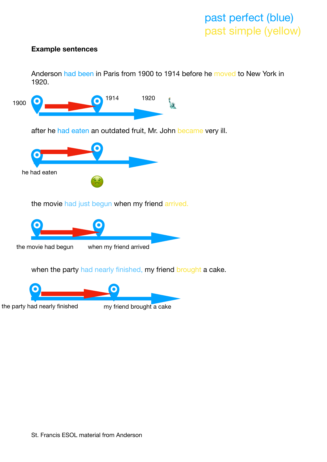# past perfect (blue) past simple (yellow)

### **Example sentences**

Anderson had been in Paris from 1900 to 1914 before he moved to New York in 1920.